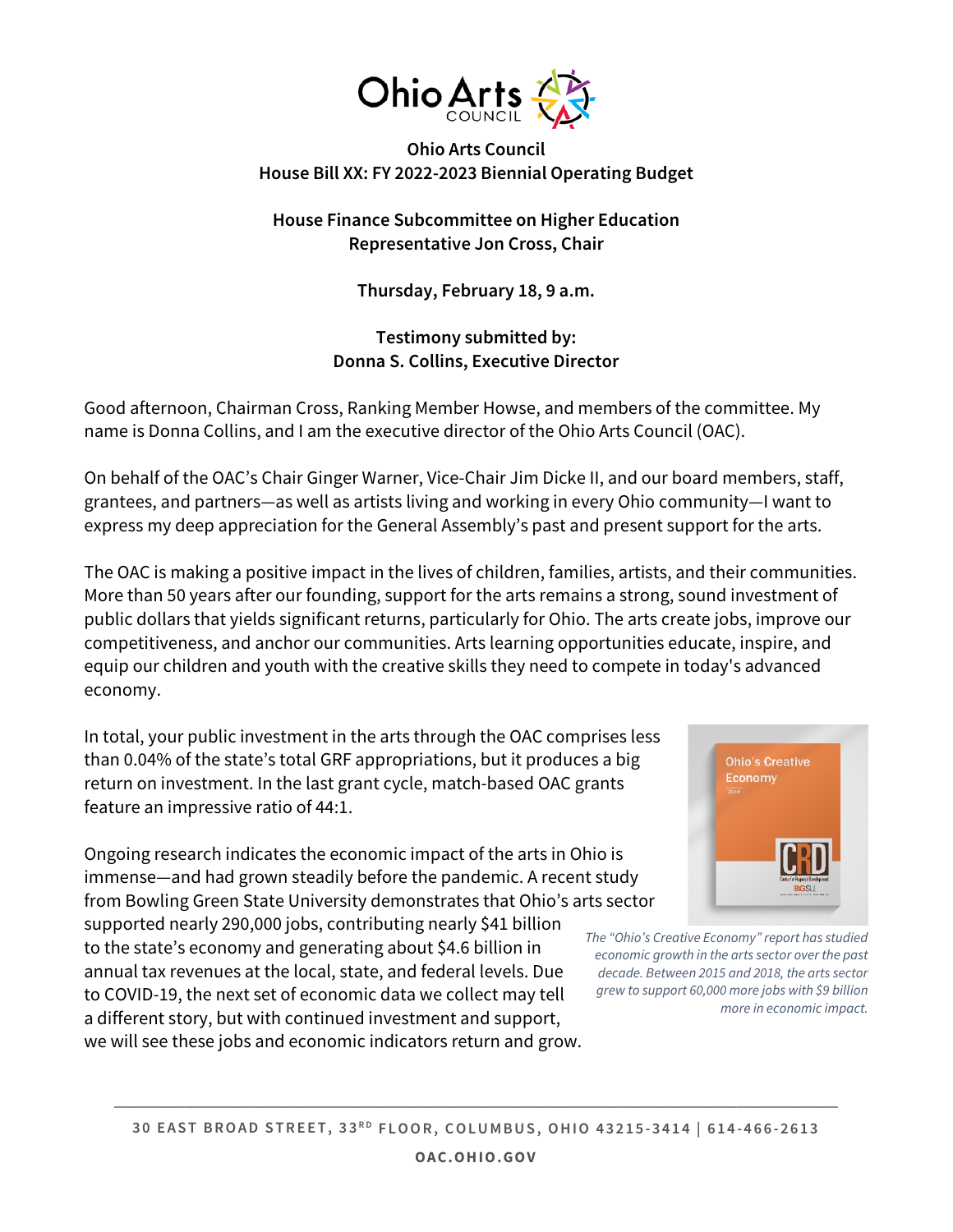

## **Ohio Arts Council House Bill XX: FY 2022-2023 Biennial Operating Budget**

## **House Finance Subcommittee on Higher Education Representative Jon Cross, Chair**

**Thursday, February 18, 9 a.m.**

# **Testimony submitted by: Donna S. Collins, Executive Director**

Good afternoon, Chairman Cross, Ranking Member Howse, and members of the committee. My name is Donna Collins, and I am the executive director of the Ohio Arts Council (OAC).

On behalf of the OAC's Chair Ginger Warner, Vice-Chair Jim Dicke II, and our board members, staff, grantees, and partners—as well as artists living and working in every Ohio community—I want to express my deep appreciation for the General Assembly's past and present support for the arts.

The OAC is making a positive impact in the lives of children, families, artists, and their communities. More than 50 years after our founding, support for the arts remains a strong, sound investment of public dollars that yields significant returns, particularly for Ohio. The arts create jobs, improve our competitiveness, and anchor our communities. Arts learning opportunities educate, inspire, and equip our children and youth with the creative skills they need to compete in today's advanced economy.

In total, your public investment in the arts through the OAC comprises less than 0.04% of the state's total GRF appropriations, but it produces a big return on investment. In the last grant cycle, match-based OAC grants feature an impressive ratio of 44:1.

Ongoing research indicates the economic impact of the arts in Ohio is immense—and had grown steadily before the pandemic. A recent study from Bowling Green State University demonstrates that Ohio's arts sector

supported nearly 290,000 jobs, contributing nearly \$41 billion to the state's economy and generating about \$4.6 billion in annual tax revenues at the local, state, and federal levels. Due to COVID-19, the next set of economic data we collect may tell a different story, but with continued investment and support, we will see these jobs and economic indicators return and grow.



*The "Ohio's Creative Economy" report has studied economic growth in the arts sector over the past decade. Between 2015 and 2018, the arts sector grew to support 60,000 more jobs with \$9 billion more in economic impact.* 

**\_\_\_\_\_\_\_\_\_\_\_\_\_\_\_\_\_\_\_\_\_\_\_\_\_\_\_\_\_\_\_\_\_\_\_\_\_\_\_\_\_\_\_\_\_\_\_\_\_\_\_\_\_\_\_\_\_\_\_\_\_\_\_\_\_\_\_\_\_\_\_\_\_\_\_\_\_\_\_\_\_\_\_\_\_\_\_\_\_\_\_\_\_**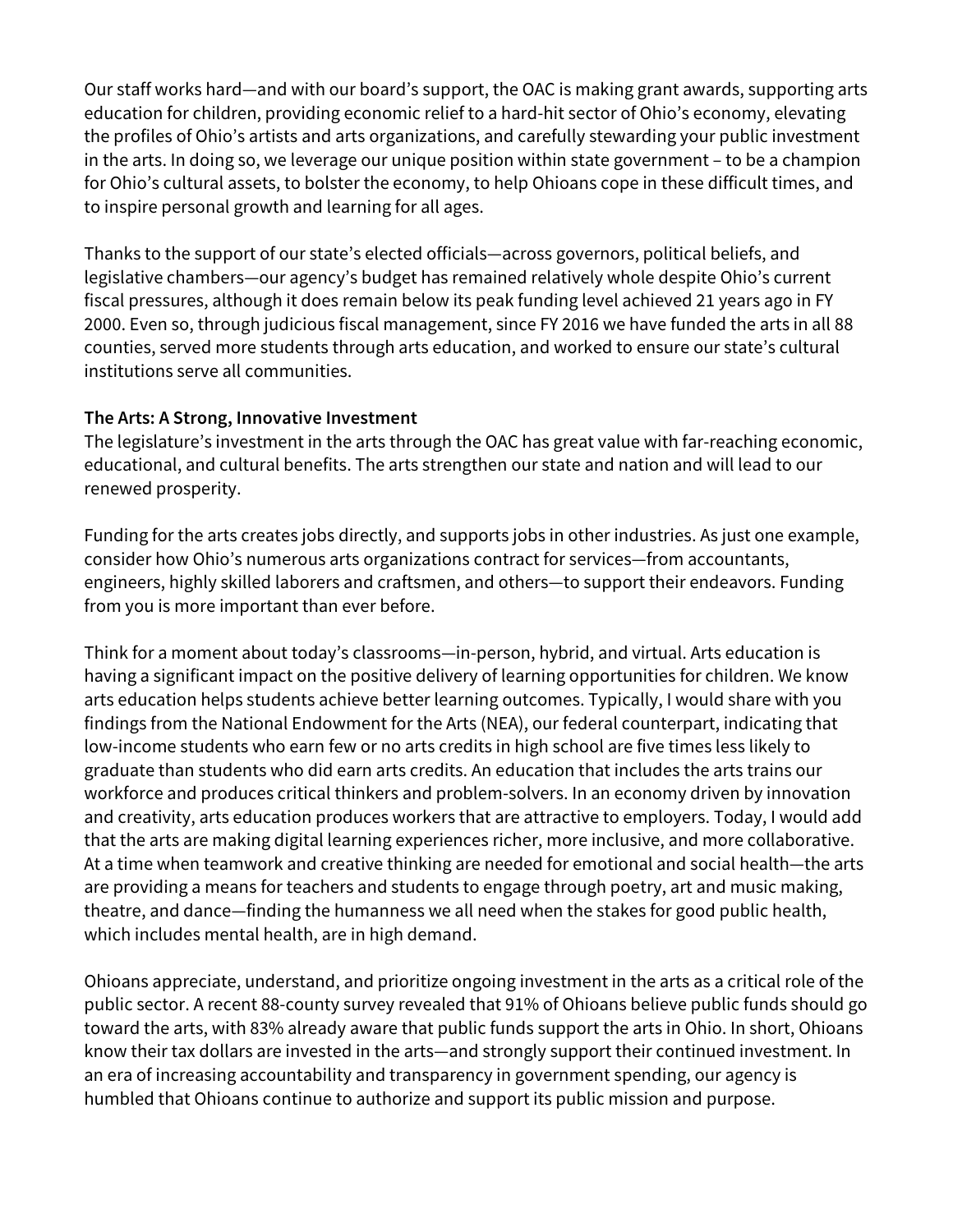Our staff works hard—and with our board's support, the OAC is making grant awards, supporting arts education for children, providing economic relief to a hard-hit sector of Ohio's economy, elevating the profiles of Ohio's artists and arts organizations, and carefully stewarding your public investment in the arts. In doing so, we leverage our unique position within state government – to be a champion for Ohio's cultural assets, to bolster the economy, to help Ohioans cope in these difficult times, and to inspire personal growth and learning for all ages.

Thanks to the support of our state's elected officials—across governors, political beliefs, and legislative chambers—our agency's budget has remained relatively whole despite Ohio's current fiscal pressures, although it does remain below its peak funding level achieved 21 years ago in FY 2000. Even so, through judicious fiscal management, since FY 2016 we have funded the arts in all 88 counties, served more students through arts education, and worked to ensure our state's cultural institutions serve all communities.

## **The Arts: A Strong, Innovative Investment**

The legislature's investment in the arts through the OAC has great value with far-reaching economic, educational, and cultural benefits. The arts strengthen our state and nation and will lead to our renewed prosperity.

Funding for the arts creates jobs directly, and supports jobs in other industries. As just one example, consider how Ohio's numerous arts organizations contract for services—from accountants, engineers, highly skilled laborers and craftsmen, and others—to support their endeavors. Funding from you is more important than ever before.

Think for a moment about today's classrooms—in-person, hybrid, and virtual. Arts education is having a significant impact on the positive delivery of learning opportunities for children. We know arts education helps students achieve better learning outcomes. Typically, I would share with you findings from the National Endowment for the Arts (NEA), our federal counterpart, indicating that low-income students who earn few or no arts credits in high school are five times less likely to graduate than students who did earn arts credits. An education that includes the arts trains our workforce and produces critical thinkers and problem-solvers. In an economy driven by innovation and creativity, arts education produces workers that are attractive to employers. Today, I would add that the arts are making digital learning experiences richer, more inclusive, and more collaborative. At a time when teamwork and creative thinking are needed for emotional and social health—the arts are providing a means for teachers and students to engage through poetry, art and music making, theatre, and dance—finding the humanness we all need when the stakes for good public health, which includes mental health, are in high demand.

Ohioans appreciate, understand, and prioritize ongoing investment in the arts as a critical role of the public sector. A recent 88-county survey revealed that 91% of Ohioans believe public funds should go toward the arts, with 83% already aware that public funds support the arts in Ohio. In short, Ohioans know their tax dollars are invested in the arts—and strongly support their continued investment. In an era of increasing accountability and transparency in government spending, our agency is humbled that Ohioans continue to authorize and support its public mission and purpose.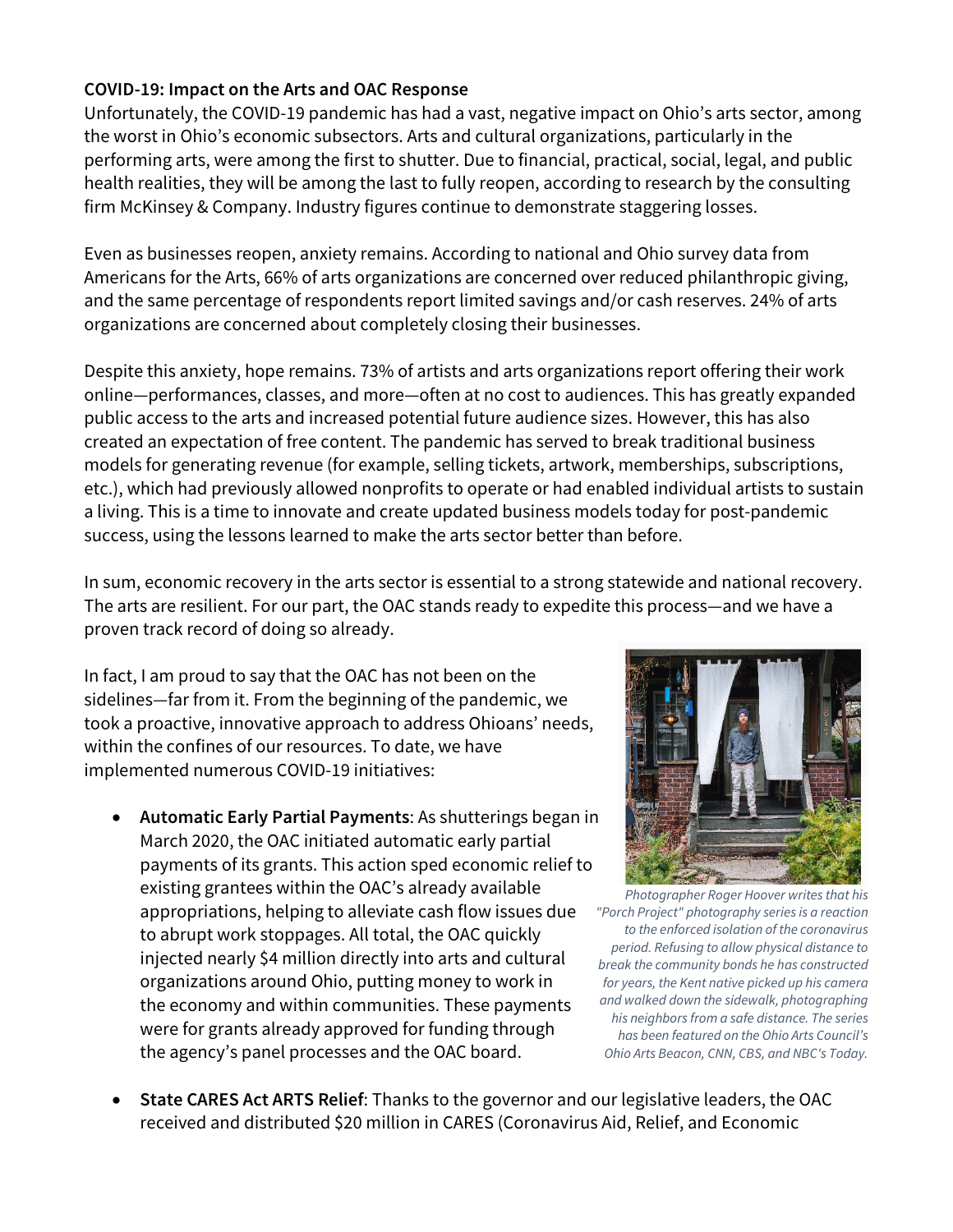## **COVID-19: Impact on the Arts and OAC Response**

Unfortunately, the COVID-19 pandemic has had a vast, negative impact on Ohio's arts sector, among the worst in Ohio's economic subsectors. Arts and cultural organizations, particularly in the performing arts, were among the first to shutter. Due to financial, practical, social, legal, and public health realities, they will be among the last to fully reopen, according to research by the consulting firm McKinsey & Company. Industry figures continue to demonstrate staggering losses.

Even as businesses reopen, anxiety remains. According to national and Ohio survey data from Americans for the Arts, 66% of arts organizations are concerned over reduced philanthropic giving, and the same percentage of respondents report limited savings and/or cash reserves. 24% of arts organizations are concerned about completely closing their businesses.

Despite this anxiety, hope remains. 73% of artists and arts organizations report offering their work online—performances, classes, and more—often at no cost to audiences. This has greatly expanded public access to the arts and increased potential future audience sizes. However, this has also created an expectation of free content. The pandemic has served to break traditional business models for generating revenue (for example, selling tickets, artwork, memberships, subscriptions, etc.), which had previously allowed nonprofits to operate or had enabled individual artists to sustain a living. This is a time to innovate and create updated business models today for post-pandemic success, using the lessons learned to make the arts sector better than before.

In sum, economic recovery in the arts sector is essential to a strong statewide and national recovery. The arts are resilient. For our part, the OAC stands ready to expedite this process—and we have a proven track record of doing so already.

In fact, I am proud to say that the OAC has not been on the sidelines—far from it. From the beginning of the pandemic, we took a proactive, innovative approach to address Ohioans' needs, within the confines of our resources. To date, we have implemented numerous COVID-19 initiatives:

• **Automatic Early Partial Payments**: As shutterings began in March 2020, the OAC initiated automatic early partial payments of its grants. This action sped economic relief to existing grantees within the OAC's already available appropriations, helping to alleviate cash flow issues due to abrupt work stoppages. All total, the OAC quickly injected nearly \$4 million directly into arts and cultural organizations around Ohio, putting money to work in the economy and within communities. These payments were for grants already approved for funding through the agency's panel processes and the OAC board.



*Photographer Roger Hoover writes that his "Porch Project" photography series is a reaction to the enforced isolation of the coronavirus period. Refusing to allow physical distance to break the community bonds he has constructed for years, the Kent native picked up his camera and walked down the sidewalk, photographing his neighbors from a safe distance. The series has been featured on the Ohio Arts Council's Ohio Arts Beacon, CNN, CBS, and NBC's Today.*

• **State CARES Act ARTS Relief**: Thanks to the governor and our legislative leaders, the OAC received and distributed \$20 million in CARES (Coronavirus Aid, Relief, and Economic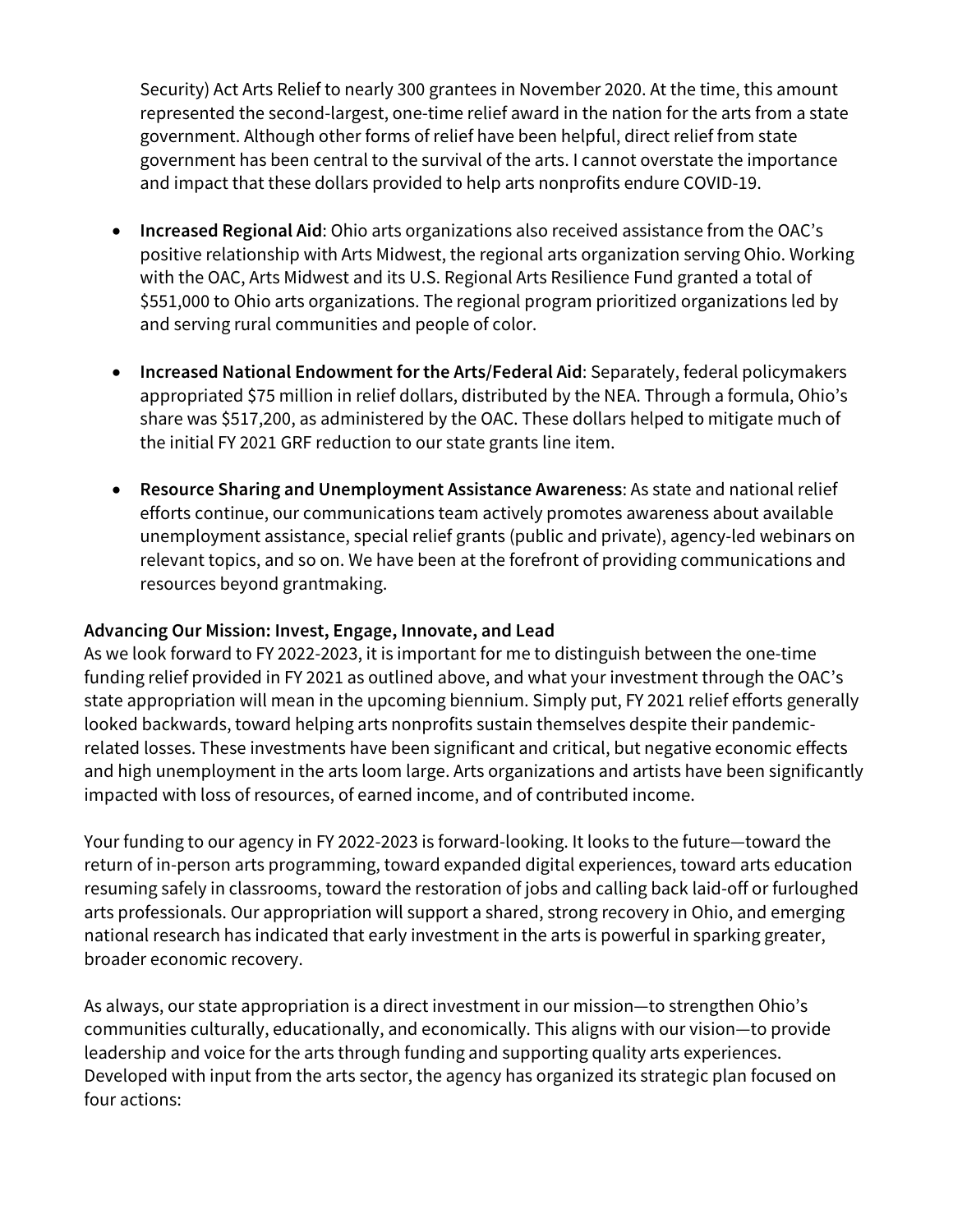Security) Act Arts Relief to nearly 300 grantees in November 2020. At the time, this amount represented the second-largest, one-time relief award in the nation for the arts from a state government. Although other forms of relief have been helpful, direct relief from state government has been central to the survival of the arts. I cannot overstate the importance and impact that these dollars provided to help arts nonprofits endure COVID-19.

- **Increased Regional Aid**: Ohio arts organizations also received assistance from the OAC's positive relationship with Arts Midwest, the regional arts organization serving Ohio. Working with the OAC, Arts Midwest and its U.S. Regional Arts Resilience Fund granted a total of \$551,000 to Ohio arts organizations. The regional program prioritized organizations led by and serving rural communities and people of color.
- **Increased National Endowment for the Arts/Federal Aid**: Separately, federal policymakers appropriated \$75 million in relief dollars, distributed by the NEA. Through a formula, Ohio's share was \$517,200, as administered by the OAC. These dollars helped to mitigate much of the initial FY 2021 GRF reduction to our state grants line item.
- **Resource Sharing and Unemployment Assistance Awareness**: As state and national relief efforts continue, our communications team actively promotes awareness about available unemployment assistance, special relief grants (public and private), agency-led webinars on relevant topics, and so on. We have been at the forefront of providing communications and resources beyond grantmaking.

#### **Advancing Our Mission: Invest, Engage, Innovate, and Lead**

As we look forward to FY 2022-2023, it is important for me to distinguish between the one-time funding relief provided in FY 2021 as outlined above, and what your investment through the OAC's state appropriation will mean in the upcoming biennium. Simply put, FY 2021 relief efforts generally looked backwards, toward helping arts nonprofits sustain themselves despite their pandemicrelated losses. These investments have been significant and critical, but negative economic effects and high unemployment in the arts loom large. Arts organizations and artists have been significantly impacted with loss of resources, of earned income, and of contributed income.

Your funding to our agency in FY 2022-2023 is forward-looking. It looks to the future—toward the return of in-person arts programming, toward expanded digital experiences, toward arts education resuming safely in classrooms, toward the restoration of jobs and calling back laid-off or furloughed arts professionals. Our appropriation will support a shared, strong recovery in Ohio, and emerging national research has indicated that early investment in the arts is powerful in sparking greater, broader economic recovery.

As always, our state appropriation is a direct investment in our mission—to strengthen Ohio's communities culturally, educationally, and economically. This aligns with our vision—to provide leadership and voice for the arts through funding and supporting quality arts experiences. Developed with input from the arts sector, the agency has organized its strategic plan focused on four actions: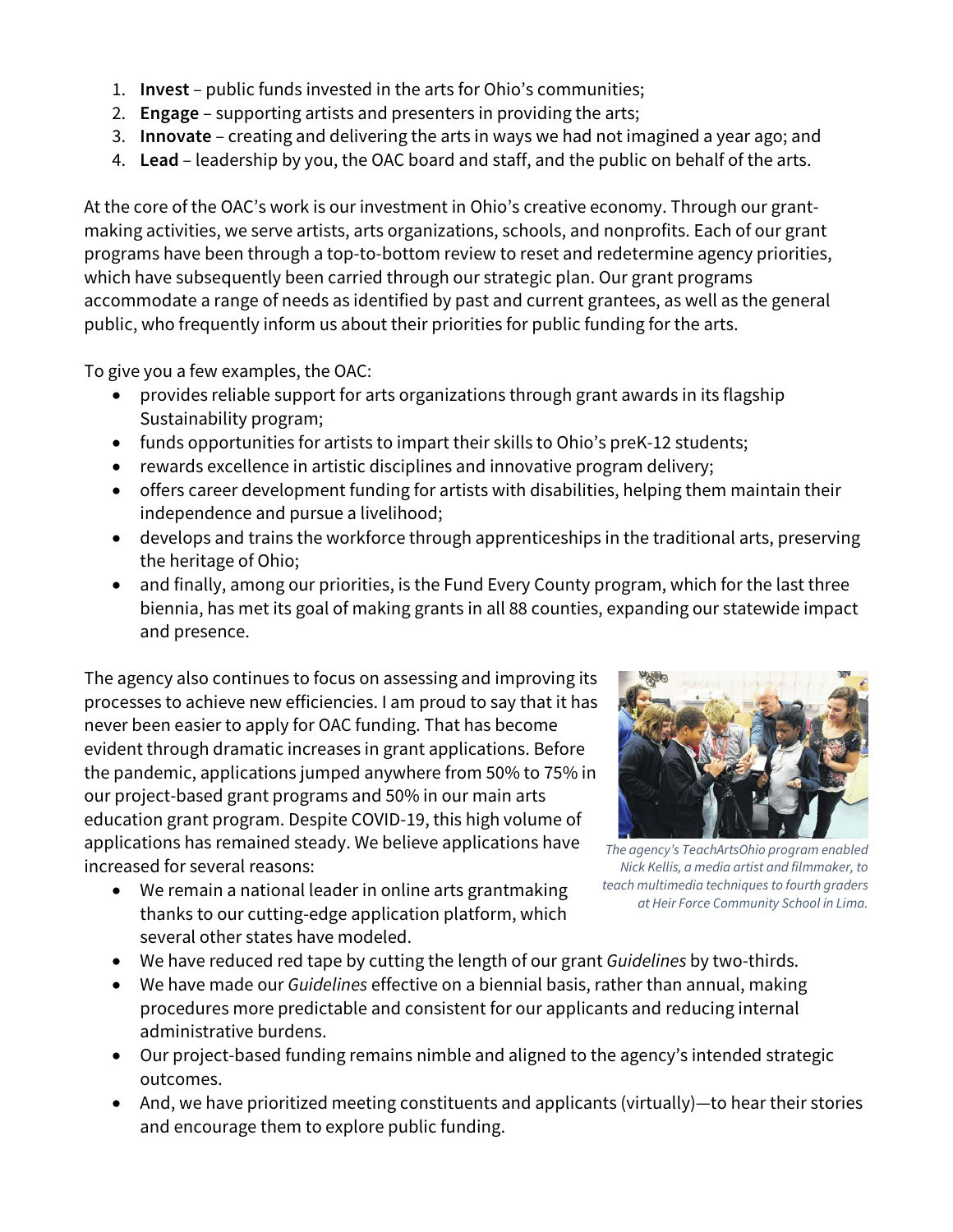- 1. **Invest** public funds invested in the arts for Ohio's communities;
- 2. **Engage** supporting artists and presenters in providing the arts;
- 3. **Innovate** creating and delivering the arts in ways we had not imagined a year ago; and
- 4. **Lead** leadership by you, the OAC board and staff, and the public on behalf of the arts.

At the core of the OAC's work is our investment in Ohio's creative economy. Through our grantmaking activities, we serve artists, arts organizations, schools, and nonprofits. Each of our grant programs have been through a top-to-bottom review to reset and redetermine agency priorities, which have subsequently been carried through our strategic plan. Our grant programs accommodate a range of needs as identified by past and current grantees, as well as the general public, who frequently inform us about their priorities for public funding for the arts.

To give you a few examples, the OAC:

- provides reliable support for arts organizations through grant awards in its flagship Sustainability program;
- funds opportunities for artists to impart their skills to Ohio's preK-12 students;
- rewards excellence in artistic disciplines and innovative program delivery;
- offers career development funding for artists with disabilities, helping them maintain their independence and pursue a livelihood;
- develops and trains the workforce through apprenticeships in the traditional arts, preserving the heritage of Ohio;
- and finally, among our priorities, is the Fund Every County program, which for the last three biennia, has met its goal of making grants in all 88 counties, expanding our statewide impact and presence.

The agency also continues to focus on assessing and improving its processes to achieve new efficiencies. I am proud to say that it has never been easier to apply for OAC funding. That has become evident through dramatic increases in grant applications. Before the pandemic, applications jumped anywhere from 50% to 75% in our project-based grant programs and 50% in our main arts education grant program. Despite COVID-19, this high volume of applications has remained steady. We believe applications have increased for several reasons:

• We remain a national leader in online arts grantmaking thanks to our cutting-edge application platform, which several other states have modeled.



*The agency's TeachArtsOhio program enabled Nick Kellis, a media artist and filmmaker, to teach multimedia techniques to fourth graders at Heir Force Community School in Lima.*

- We have reduced red tape by cutting the length of our grant *Guidelines* by two-thirds.
- We have made our *Guidelines* effective on a biennial basis, rather than annual, making procedures more predictable and consistent for our applicants and reducing internal administrative burdens.
- Our project-based funding remains nimble and aligned to the agency's intended strategic outcomes.
- And, we have prioritized meeting constituents and applicants (virtually)—to hear their stories and encourage them to explore public funding.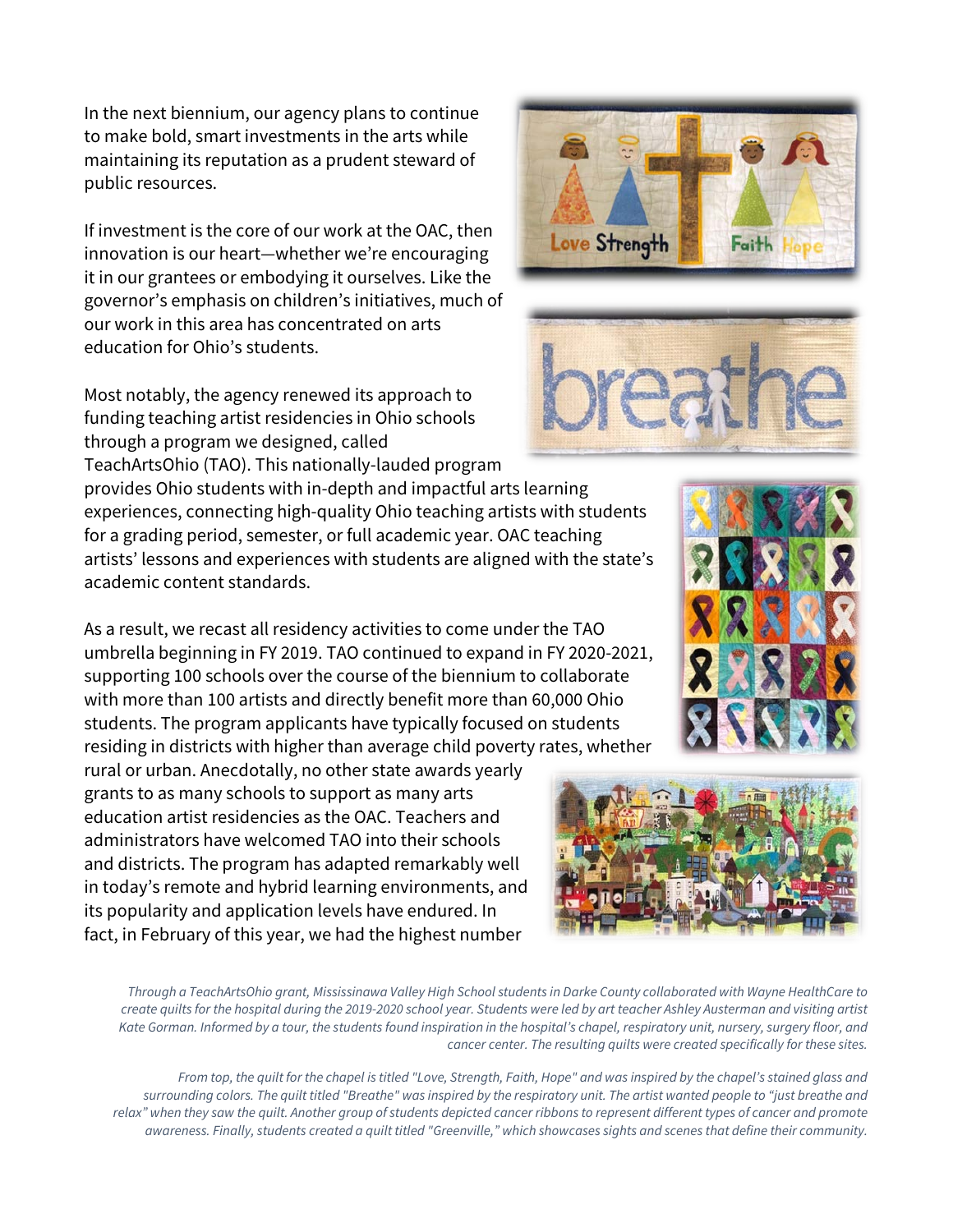In the next biennium, our agency plans to continue to make bold, smart investments in the arts while maintaining its reputation as a prudent steward of public resources.

If investment is the core of our work at the OAC, then innovation is our heart—whether we're encouraging it in our grantees or embodying it ourselves. Like the governor's emphasis on children's initiatives, much of our work in this area has concentrated on arts education for Ohio's students.

Most notably, the agency renewed its approach to funding teaching artist residencies in Ohio schools through a program we designed, called TeachArtsOhio (TAO). This nationally-lauded program

provides Ohio students with in-depth and impactful arts learning experiences, connecting high-quality Ohio teaching artists with students for a grading period, semester, or full academic year. OAC teaching artists' lessons and experiences with students are aligned with the state's academic content standards.

As a result, we recast all residency activities to come under the TAO umbrella beginning in FY 2019. TAO continued to expand in FY 2020-2021, supporting 100 schools over the course of the biennium to collaborate with more than 100 artists and directly benefit more than 60,000 Ohio students. The program applicants have typically focused on students residing in districts with higher than average child poverty rates, whether

rural or urban. Anecdotally, no other state awards yearly grants to as many schools to support as many arts education artist residencies as the OAC. Teachers and administrators have welcomed TAO into their schools and districts. The program has adapted remarkably well in today's remote and hybrid learning environments, and its popularity and application levels have endured. In fact, in February of this year, we had the highest number

*Through a TeachArtsOhio grant, Mississinawa Valley High School students in Darke County collaborated with Wayne HealthCare to create quilts for the hospital during the 2019-2020 school year. Students were led by art teacher Ashley Austerman and visiting artist Kate Gorman. Informed by a tour, the students found inspiration in the hospital's chapel, respiratory unit, nursery, surgery floor, and cancer center. The resulting quilts were created specifically for these sites.*

*From top, the quilt for the chapel is titled "Love, Strength, Faith, Hope" and was inspired by the chapel's stained glass and surrounding colors. The quilt titled "Breathe" was inspired by the respiratory unit. The artist wanted people to "just breathe and relax" when they saw the quilt. Another group of students depicted cancer ribbons to represent different types of cancer and promote awareness. Finally, students created a quilt titled "Greenville," which showcases sights and scenes that define their community.*





Faith

Love Strength



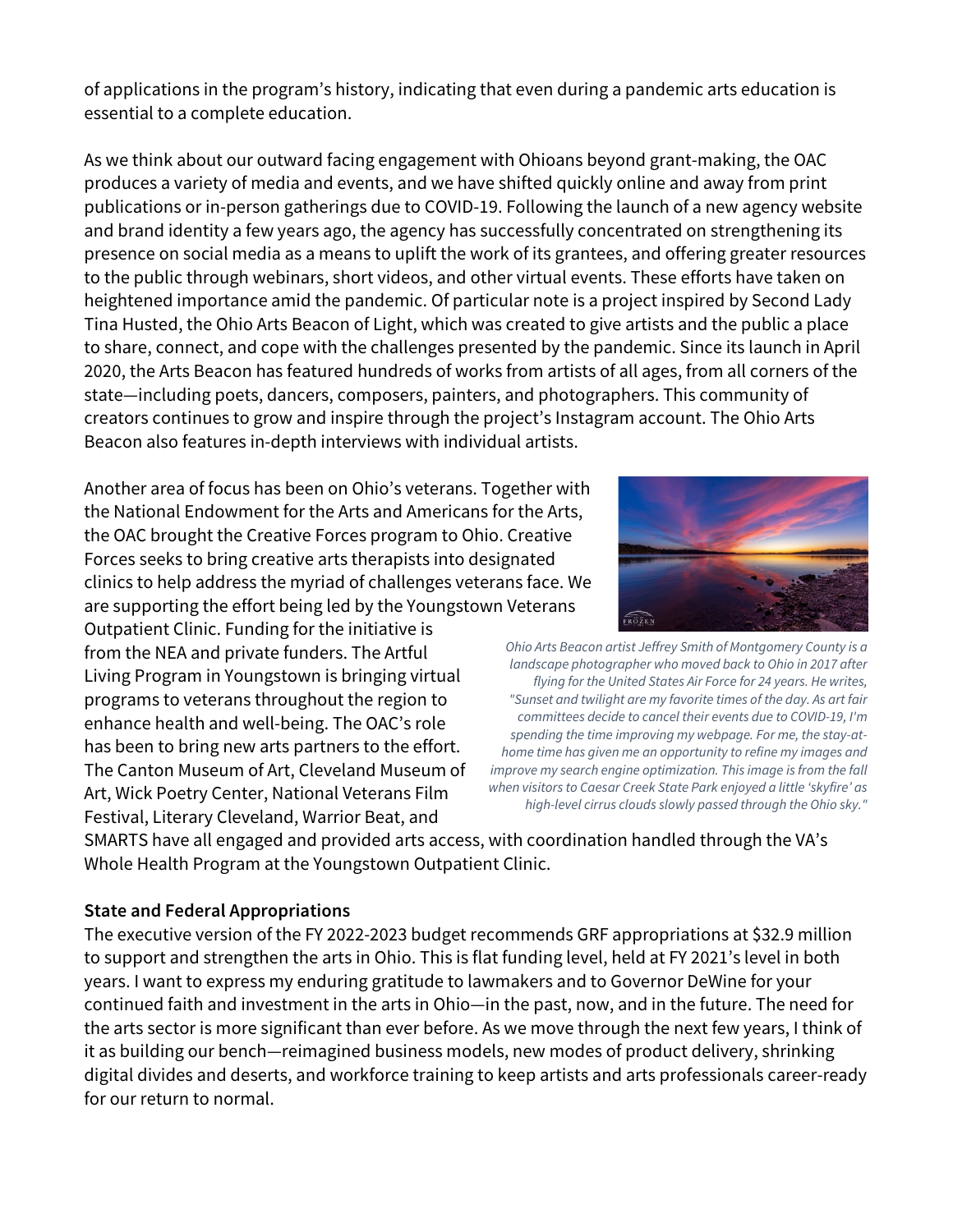of applications in the program's history, indicating that even during a pandemic arts education is essential to a complete education.

As we think about our outward facing engagement with Ohioans beyond grant-making, the OAC produces a variety of media and events, and we have shifted quickly online and away from print publications or in-person gatherings due to COVID-19. Following the launch of a new agency website and brand identity a few years ago, the agency has successfully concentrated on strengthening its presence on social media as a means to uplift the work of its grantees, and offering greater resources to the public through webinars, short videos, and other virtual events. These efforts have taken on heightened importance amid the pandemic. Of particular note is a project inspired by Second Lady Tina Husted, the Ohio Arts Beacon of Light, which was created to give artists and the public a place to share, connect, and cope with the challenges presented by the pandemic. Since its launch in April 2020, the Arts Beacon has featured hundreds of works from artists of all ages, from all corners of the state—including poets, dancers, composers, painters, and photographers. This community of creators continues to grow and inspire through the project's Instagram account. The Ohio Arts Beacon also features in-depth interviews with individual artists.

Another area of focus has been on Ohio's veterans. Together with the National Endowment for the Arts and Americans for the Arts, the OAC brought the Creative Forces program to Ohio. Creative Forces seeks to bring creative arts therapists into designated clinics to help address the myriad of challenges veterans face. We are supporting the effort being led by the Youngstown Veterans

Outpatient Clinic. Funding for the initiative is from the NEA and private funders. The Artful Living Program in Youngstown is bringing virtual programs to veterans throughout the region to enhance health and well-being. The OAC's role has been to bring new arts partners to the effort. The Canton Museum of Art, Cleveland Museum of Art, Wick Poetry Center, National Veterans Film Festival, Literary Cleveland, Warrior Beat, and



*Ohio Arts Beacon artist Jeffrey Smith of Montgomery County is a landscape photographer who moved back to Ohio in 2017 after flying for the United States Air Force for 24 years. He writes, "Sunset and twilight are my favorite times of the day. As art fair committees decide to cancel their events due to COVID-19, I'm spending the time improving my webpage. For me, the stay-athome time has given me an opportunity to refine my images and improve my search engine optimization. This image is from the fall when visitors to Caesar Creek State Park enjoyed a little 'skyfire' as high-level cirrus clouds slowly passed through the Ohio sky."*

SMARTS have all engaged and provided arts access, with coordination handled through the VA's Whole Health Program at the Youngstown Outpatient Clinic.

#### **State and Federal Appropriations**

The executive version of the FY 2022-2023 budget recommends GRF appropriations at \$32.9 million to support and strengthen the arts in Ohio. This is flat funding level, held at FY 2021's level in both years. I want to express my enduring gratitude to lawmakers and to Governor DeWine for your continued faith and investment in the arts in Ohio—in the past, now, and in the future. The need for the arts sector is more significant than ever before. As we move through the next few years, I think of it as building our bench—reimagined business models, new modes of product delivery, shrinking digital divides and deserts, and workforce training to keep artists and arts professionals career-ready for our return to normal.